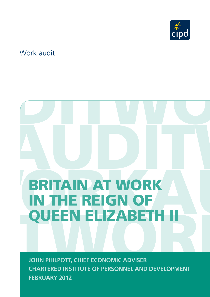

# Work audit

# RANDISCH RKWORKAUDITWO BRITAIN AT WORK<br>QUEEN ELIZABETH II<br>AUDI PHILPOTT, CHIEF ECONOMIC ADVISER<br>CHARTERED INSTITUTE OF PERSONNEL AND DEVELOPMENT BRITAIN AT WORK IN THE REIGN OF QUEEN ELIZABETH I

JOHN PHILPOTT, CHIEF ECONOMIC ADVISER<br>CHARTERED INSTITUTE OF PERSONNEL AND DEVELOPMENT<br>FEBRUARY 2012 **JOHN PHILPOTT, CHIEF ECONOMIC ADVISER CHARTERED INSTITUTE OF PERSONNEL AND DEVELOPMENT FEBRUARY 2012**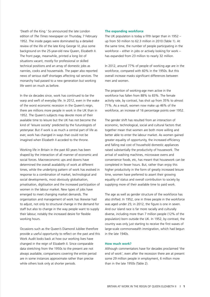'Death of the King.' So announced the late London edition of *The Times* newspaper on Thursday, 7 February 1952. The inside pages were dominated by a detailed review of the life of the late King George VI, plus some background on the 25-year-old new Queen, Elizabeth II. The front page, meanwhile, printed a long list of situations vacant, mostly for professional or skilled technical positions and an array of domestic jobs as nannies, cooks and housemaids. The paper also reported news of serious staff shortages affecting rail services. The monarchy had passed to a new generation but working life went on much as before.

In the six decades since, work has continued to be the warp and weft of everyday life. In 2012, even in the wake of the worst economic recession in the Queen's reign, there are millions more people in work in the UK than in 1952. The Queen's subjects may devote more of their available time to leisure but the UK has not become the kind of 'leisure society' predicted by the futurologists of yesteryear. But if work is as much a central part of life as ever, work has changed in ways that could not be imagined when Elizabeth II acceded to the throne.

Working life in Britain in the past 60 years has been shaped by the interaction of all manner of economic and social forces. Macroeconomic ups and downs have determined the overall availability of work at different times, while the underlying pattern of work has evolved in response to a combination of market, technological and social developments, most obviously globalisation, privatisation, digitisation and the increased participation of women in the labour market. New types of jobs have emerged to meet changing market demands. The organisation and management of work has likewise had to adjust, not only to structural change in the demand for staff but also to change in the way people want to supply their labour, notably the increased desire for flexible working hours.

Occasions such as the Queen's Diamond Jubilee therefore provide a useful opportunity to reflect on the past and this Work Audit looks back at how our working lives have changed in the reign of Elizabeth II. Since comparable data stretching from the 1950s to the present are not always available, comparisons covering the entire period are in some instances approximate rather than precise while others look only at shorter periods.

#### **The expanding workforce**

The UK population is today a fifth larger than in 1952 – up from 50 million to 62.3 million in 2010 (Table 1). At the same time, the number of people participating in the workforce – either in jobs or actively looking for work – has expanded from 23 million to nearly 32 million.

In 2012, around 77% of people of working age are in the workforce, compared with 60% in the 1950s. But this overall increase masks significant differences between men and women.

The proportion of working-age men active in the workforce has fallen from 88% to 83%. The female activity rate, by contrast, has shot up from 35% to almost 71%. As a result, women now make up 46% of the workforce, an increase of 16 percentage points over 1952.

The gender shift has resulted from an interaction of economic, technological, social and cultural factors that together mean that women are both more willing and better able to enter the labour market. As women gained greater equality of opportunity, the increased efficiency and falling real cost of household domestic appliances raised substantially the productivity of housework. The arrival of washing machines, microwave ovens and convenience foods, etc, has meant that housework can be completed in fewer hours. But, rather than enjoy this higher productivity in the form of greatly increased leisure time, women have preferred to assert their growing equality of status and overall contribution to society by supplying more of their available time to paid work.

The age as well as gender structure of the workforce has also shifted. In 1952, one in three people in the workforce was aged under 25; in 2012, the figure is one in seven. And our island race is far more racially and culturally diverse, including more than 7 million people (12% of the population) born outside the UK. In 1952, by contrast, the country was only just starting to receive the first waves of large-scale commonwealth immigration, which had begun in the late 1940s.

#### **How much work?**

Although commentators have for decades proclaimed 'the end of work', even after the recession there are at present some 29 million people in employment, 6 million more than in the late 1950s (Table 2).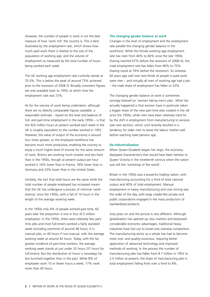However, the number of people in work is not the best measure of how 'work rich' the country is. This is best illustrated by the employment rate, which shows how much paid work there is relative to the size of the population of working age, and the volume of employment as measured by the total number of hours being worked each week.

The UK working age employment rate currently stands at 70.3%. This is below the peak of around 73% achieved prior to the recession of 2008–9. Broadly consistent figures are only available back to 1959, at which time the employment rate was 72%.

As for the volume of work being undertaken, although there are no directly comparable figures available, a reasonable estimate – based on the level and balance of full- and part-time employment in the early 1950s – is that the 920 million hours at present worked each week in the UK is roughly equivalent to the number worked in 1952. However, the value of output of the economy is around four times greater, so the employed workforce has become much more productive, enabling the country to enjoy a much higher level of income for the same amount of work. Britons are working much smarter and less hard than in the 1950s, though at present output per hour worked is 16% lower than in France, 18% lower than in Germany and 23% lower than in the United States.

Similarly, the fact that total hours are the same while the total number of people employed has increased means that the UK has undergone a process of informal 'worksharing' since the 1950s, with a fall of 10 hours in the length of the average working week.

In the 1950s only 4% of people worked part-time; 60 years later the proportion is one in four (6.5 million employees). In the 1950s, there were relatively few parttime jobs and most full-timers worked a fairly standard week (including overtime) of around 48 hours, if in manual jobs, or 40 hours if non-manual, with the average working week at around 42 hours. Today, with the far greater incidence of part-time workers, the average working week stands at just under 32 hours (37 hours for full-timers). But the distribution of hours is nowadays far less bunched together than in the past. While 8% of employees work 15 or fewer hours a week, 17% work more than 45 hours.

# **The changing gender balance at work**

Changes in the level of employment and the employment rate parallel the changing gender balance in the workforce. While the female working age employment rate has risen from 46% to 66% since the late 1950s (having reached 67% before the recession of 2008–9), the male employment rate has fallen from 96% to 75% (having stood at 79% before the recession). So whereas 60 years ago well over two-thirds of people in paid work were men – and virtually all men of working age had a job – the male share of employment has fallen to 53%.

The changing gender balance at work is sometimes wrongly blamed on 'women taking men's jobs'. What has actually happened is that women have in particular taken a bigger share of the new part-time jobs created in the UK since the 1950s, while men have been relatively hard hit by the shift in employment from manufacturing to services (see next section), which until recently resulted in a tendency for older men to leave the labour market well before reaching state pension age.

# **De-industrialisation**

When Queen Elizabeth began her reign, the economy displayed characteristics that would have been familiar to Queen Victoria in the nineteenth century when the nation was still the 'workshop of the world'.

Britain in the 1950s was a powerful trading nation, with manufacturing accounting for a third of total national output and 40% of total employment. Manual employment in heavy manufacturing and coal mining was the order of the day, with large citadel-like private and public corporations engaged in the mass production of standardised products.

Sixty years on and the picture is very different. Although globalisation has opened up new markets and bestowed considerable economic advantages, traditional heavy industries have lost out to lower-cost overseas competitors. The manufacturing sector as a whole has had to become more cost- and quality-conscious, requiring better application of advanced technology and improved methods of working. In the process the number of manufacturing jobs has fallen from 8.7 million in 1952 to 2.5 million at present, the share of manufacturing jobs in total employment falling from over a third to 8%.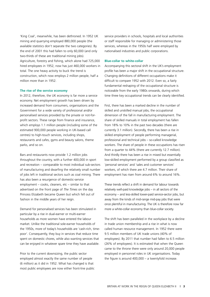'King Coal', meanwhile, has been dethroned. In 1952 UK mining and quarrying employed 880,000 people (the available statistics don't separate the two categories). By the end of 2001 this had fallen to only 60,000 (and only two-thirds of these are traditional mining jobs). Agriculture, forestry and fishing, which alone had 725,000 hired employees in 1952, now has just 460,000 workers in total. The one heavy activity to buck the trend is construction, which now employs 2 million people, half a million more than in 1952.

### **The rise of the service economy**

In 2012, therefore, the UK economy is far more a service economy. Net employment growth has been driven by increased demand from consumers, organisations and the Government for a wide variety of professional and/or personalised services provided by the private or not-forprofit sectors. These range from finance and insurance, which employs 1.1 million people (including some of the estimated 900,000 people working in UK-based call centres) to high-touch services, including shops, restaurants and cafes, gyms and beauty salons, theme parks, and so on.

Bars and restaurants now provide 1.2 million jobs throughout the country, with a further 400,000 in sport and recreation – comparable to most individual sub-sectors of manufacturing and dwarfing the relatively small number of jobs left in traditional sectors such as coal mining. There has also been a resurgence of domestic-service employment – cooks, cleaners, etc – similar to that advertised on the front page of *The Times* on the day Princess Elizabeth became Queen but which fell out of fashion in the middle years of her reign.

Demand for personalised services has been stimulated in particular by a rise in dual-earner or multi-earner households as more women have entered the labour market. Unlike the traditional sole-earner households of the 1950s, more of today's households are 'cash-rich, timepoor'. Consequently, they buy in services that reduce time spent on domestic chores, while also wanting services that can be enjoyed in whatever spare time they have available.

Prior to the current downsizing, the public sector employed almost exactly the same number of people (6 million) as it did in 1952. What has changed is that most public employees are now either front-line public service providers in schools, hospitals and local authorities or staff responsible for managing or administering those services, whereas in the 1950s half were employed by nationalised industries and public corporations.

#### **Blue-collar to white-collar**

Accompanying this sectoral shift in the UK's employment profile has been a major shift in the occupational structure. Changing definitions of different occupations make it difficult to compare 1952 with 2012. Even so, a fairly fundamental reshaping of the occupational structure is noticeable from the early 1980s onwards, during which time three key occupational trends can be clearly identified.

First, there has been a marked decline in the number of skilled and unskilled manual jobs, the occupational dimension of the fall in manufacturing employment. The share of skilled manuals in total employment has fallen from 18% to 10% in the past two decades (there are currently 3.1 million). Secondly, there has been a rise in skilled employment of people performing managerial, professional and technical jobs – so-called knowledge workers. The share of people in these occupations has risen from a quarter to 44% (there are currently 12.7 million). And thirdly there has been a rise in mixed but essentially low-skilled employment performed by a group classified as 'personal services' and 'sales and customer services' workers, of which there are 4.7 million. Their share of employment has risen from around 6% to around 16%.

These trends reflect a shift in demand for labour towards relatively well-paid knowledge jobs – in all sectors of the economy – and less-skilled lower-paid service-sector jobs, but away from the kinds of mid-range mid-pay jobs that were once plentiful in manufacturing. The UK is therefore now far more a white-collar economy than blue-collar society.

The shift has been paralleled in the workplace by a decline in trade union membership and a rise in what is now called human resource management. In 1952 there were 9.5 million members of UK trade unions (40% of employees). By 2011 that number had fallen to 6.5 million (26% of employees). It is estimated that when the Queen came to the throne there were only around 20,000 people employed in personnel roles in UK organisations. Today the figure is around 400,000 – a twentyfold increase.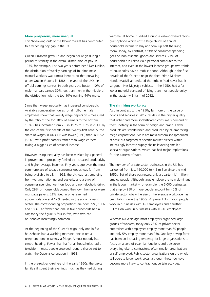#### **More prosperous, more unequal**

This 'hollowing out' of the labour market has contributed to a widening pay gap in the UK.

Queen Elizabeth grew up and began her reign during a period of stability in the overall distribution of pay. In 1975, for example, just two years before her Silver Jubilee, the distribution of weekly earnings of full-time male manual workers was almost identical to that prevailing under Queen Victoria in 1886, the year of the UK's first official earnings census. In both years the bottom 10% of male manuals earned 30% less than men in the middle of the distribution, with the top 10% earning 44% more.

Since then wage inequality has increased considerably. Available comparative figures for all full-time male employees show that weekly wage dispersion – measured by the ratio of the top 10% of earners to the bottom 10% – has increased from 2.5 in 1975 to 3.75 in 2011. By the end of the first decade of the twenty-first century, the share of wages in UK GDP was lower (53%) than in 1952 (58%), with profit-earners rather than wage-earners taking a bigger slice of national income.

However, rising inequality has been masked by a general improvement in prosperity fuelled by increased productivity and higher average incomes. Fifty years ago even the most commonplace of today's consumer goods was far from being available to all. In 1952, the UK was just emerging from wartime rationing and austerity and a third of consumer spending went on food and non-alcoholic drink. Only 29% of households owned their own homes or were mortgage payers; 52% lived in private rented accommodation and 19% rented in the social housing sector. The corresponding proportions are now 69%, 13% and 18%. Far fewer than one in five households had a car; today the figure is four in five, with two-car households increasingly common.

At the beginning of the Queen's reign, only one in five households had a washing machine, one in ten a telephone, one in twenty a fridge. Almost nobody had central heating. Fewer than half of all households had a television – most people crowded round a shared set to watch the Queen's coronation in 1953.

In the pre-rock-and-roll era of the early 1950s, the typical family still spent their evenings much as they had during

wartime: at home, huddled around a valve-powered radiogramophone which cost a large chunk of annual household income to buy and took up half the living room. Today, by contrast, a fifth of consumer spending goes on non-essential goods and services, 73% of households are linked via a personal computer to the Internet, and even in the lowest income groups two-thirds of households have a mobile phone. Although in the first decade of the Queen's reign the then Prime Minister Harold MacMillan declared that Britain 'had never had it so good', Her Majesty's subjects in the 1950s had a far lower material standard of living than most people enjoy in the 'austerity Britain' of 2012.

#### **The shrinking workplace**

Also in contrast to the 1950s, far more of the value of goods and services in 2012 resides in the higher quality that richer and more sophisticated consumers demand of them, notably in the form of design and brand. Fewer products are standardised and produced by all-embracing mega corporations. More are mass-customised (produced at scale but targeted at specific market niches) within increasingly intricate supply chains involving smaller specialist organisations, which has had major implications for the pattern of work.

The number of private sector businesses in the UK has ballooned from just 160,000 to 4.5 million since the mid-1950s. But of these businesses, only a quarter (1.1 million) employ people. Although large employers remain dominant in the labour market – for example, the 6,000 businesses that employ 250 or more people account for 40% of private sector jobs – the size of the average workplace has been falling since the 1960s. At present 3.7 million people work in businesses with 1–9 employees and a further 3.3 million work in businesses with 10–49 employees.

Whereas 60 years ago most employers organised large groups of workers, today only 28% of private sector enterprises with employees employ more than 50 people and only 5% employ more than 250. One key driving force has been an increasing tendency for large organisations to focus on a core of essential functions and outsource everything else to contractors, often smaller organisations or self-employed. Public sector organisations on the whole still operate larger workforces, although these too have become more likely to contract out certain activities.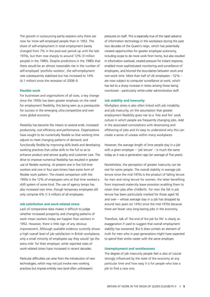The growth in outsourcing partly explains why there are now far more self-employed people than in 1952. The share of self-employment in total employment barely changed from 7% in the post-war period up until the late 1970s, but then rose sharply to around 12% (3 million people) in the 1980s. Despite predictions in the 1980s that there would be an almost inexorable rise in the number of self-employed 'portfolio workers', the self-employment rate subsequently stabilised but has increased to 14% (4.1 million) since the recession of 2008–9.

# **Flexible work**

For businesses and organisations of all sizes, a key change since the 1950s has been greater emphasis on the need for employment flexibility, this being seen as a prerequisite for success in the emerging ultra-competitive and ever more global economy.

Flexibility has become the means to several ends: increased productivity, cost efficiency and performance. Organisations have sought to be numerically flexible so that working time adjusts to meet changing patterns of demand; and functionally flexible by improving skills levels and developing working practices that utilise skills to the full so as to enhance product and service quality and customer care. The drive to improve numerical flexibility has resulted in greater use of flexible working. At present one in five full-time workers and one in four part-timers have some form of flexible work pattern. The closest comparison with the 1950s is the 12% of employees who at that time worked a shift system of some kind. The use of agency temps has also increased over time, though temporary employees still only comprise 6% (1.5 million) of all employees.

#### **Job satisfaction and work-related stress**

Lack of comparative data makes it difficult to judge whether increased prosperity and changing patterns of work mean workers today are happier than workers in 1952. However, there is little sign of any obvious improvement. Although available evidence currently shows a high overall level of job satisfaction in British workplaces. only a small minority of employees say they would 'go the extra mile' for their employer, while reported rates of work-related stress have increased in recent decades.

Particular difficulties can arise from the introduction of new technologies, which may not just involve new working practices but impose entirely new (and often unforeseen)

pressures on staff. This is especially true of the rapid advance of information technology in the workplace during the past two decades of the Queen's reign, which has potentially created opportunities for greater employee autonomy, including scope to do more work from home, but also resulted in information overload, created pressure for instant response, enabled more sophisticated monitoring and surveillance of employees, and blurred the boundaries between work and non-work time. More than half of UK employees – 52% – are now subject to computer surveillance at work, which has led to a sharp increase in stress among those being monitored – particularly white-collar administrative staff.

#### **Job stability and insecurity**

Workplace stress is also often linked with job instability and job insecurity, on the assumption that greater employment flexibility gives rise to a 'hire and fire' work culture in which people are frequently changing jobs. Add in the associated connotations with downsizing and offshoring of jobs and it's easy to understand why this can create a sense of unease within many workplaces.

However, the average length of time people stay in a job with a given employer  $-$  'job tenure'  $-$  is much the same today as it was a generation ago (an average of five years).

Nonetheless, the perception of greater insecurity can be real for some people. The overall stability in average job tenure since the mid-1970s is the product of falling tenure for men and rising tenure for women, the latter benefiting from improved maternity leave provision enabling them to retain their jobs after childbirth. For men the fall in job tenure has been particularly marked for those aged 50 and over – whose average stay in a job has dropped by around two years (or 14%) since the mid-1970s because there are fewer very long-lasting jobs in the economy.

Therefore, talk of 'the end of the job for life' is clearly an exaggeration if used to suggest that overall employment stability has worsened. But it does contain an element of truth for men who in past generations might have expected to spend their entire career with the same employer.

# **Unemployment and worklessness**

The degree of job insecurity people feel is also of course strongly influenced by the state of the economy at any particular time and how easy it is for people who lose a job to find a new one.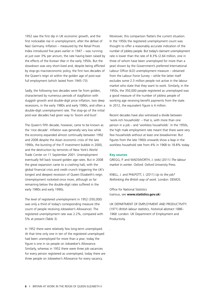1952 saw the first dip in UK economic growth, and the first noticeable rise in unemployment, after the defeat of Nazi Germany. Inflation – measured by the Retail Prices Index introduced five years earlier in 1947 – was running at just over 3% per annum, the rate having been raised by the effects of the Korean War in the early 1950s. But the slowdown was very short-lived and, despite being afflicted by stop-go macroeconomic policy, the first two decades of the Queen's reign sit within the golden age of post-war full employment (which lasted from 1945–73).

Sadly, the following two decades were far from golden, characterised by numerous periods of stagflation with sluggish growth and double-digit price inflation, two deep recessions, in the early 1980s and early 1990s, and often a double-digit unemployment rate. The stop-go of the initial post-war decades had given way to 'boom and bust'.

The Queen's fifth decade, however, came to be known as the 'nice decade'. Inflation was generally very low while the economy expanded almost continually between 1992 and 2008 despite the Asian economic crisis of the late 1990s, the bursting of the IT investment bubble in 2000, and the destruction by terrorists of New York's World Trade Center on 11 September 2001. Unemployment eventually fell back toward golden age rates. But in 2008 the great expansion came to a crashing halt, with the global financial crisis and credit crunch triggering the UK's longest and deepest recession of Queen Elizabeth's reign. Unemployment rocketed once more, although so far remaining below the double-digit rates suffered in the early 1980s and early 1990s.

The level of registered unemployment in 1952 (350,000) was only a third of today's corresponding measure (the count of people receiving Jobseeker's Allowance). The registered unemployment rate was 2.2%, compared with 5% at present (Table 3).

In 1952 there were relatively few long-term unemployed. At that time only one in ten of the registered unemployed had been unemployed for more than a year; today the figure is one in six people on Jobseeker's Allowance. Similarly, whereas in 1952 there were three job vacancies for every person registered as unemployed, today there are three people on Jobseeker's Allowance for every vacancy.

Moreover, this comparison flatters the current situation. In the 1950s the registered unemployment count was thought to offer a reasonably accurate indication of the number of jobless people. But today's claimant unemployment rate is lower than the rate of 8.3% (2.64 million, one in three of whom have been unemployed for more than a year) shown by the Government's preferred International Labour Office (ILO) unemployment measure – obtained from the Labour Force Survey – while the latter itself excludes some 2.3 million people not active in the labour market who state that they want to work. Similarly, in the 1950s, the 350,000 people registered as unemployed was a good measure of the number of jobless people of working age receiving benefit payments from the state. In 2012, the equivalent figure is 4 million.

Recent decades have also witnessed a divide between 'work-rich households' – that is, with more than one person in a job – and 'workless households'. In the 1950s, the high male employment rate meant that there were very few households without at least one breadwinner. But figures from the late 1960s onwards show a leap in the workless household rate from 4% in 1968 to 18.8% today.

#### **Key sources**

.

GREGG, P. and WADSWORTH, J. (eds) (2011) *The labour market in winter*. Oxford: Oxford University Press.

KNELL, J. and PHILPOTT, J. (2011) *Up to the job? Rethinking the British way of work*. London: DEMOS.

Office for National Statistics (various, see **www.statistics.gov.uk**)

UK DEPARTMENT OF EMPLOYMENT AND PRODUCTIVITY. (1971) *British labour statistics, historical abstract 1886– 1968*. London: UK Department of Employment and Productivity.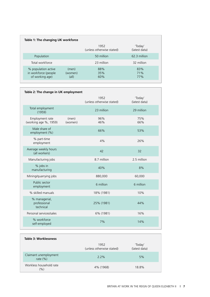| Table 1: The changing UK workforce                             |                           |                                   |                          |  |  |
|----------------------------------------------------------------|---------------------------|-----------------------------------|--------------------------|--|--|
|                                                                |                           | 1952<br>(unless otherwise stated) | 'Today'<br>(latest data) |  |  |
| Population                                                     |                           | 50 million                        | 62.3 million             |  |  |
| Total workforce                                                |                           | 23 million                        | 32 million               |  |  |
| % population active<br>in workforce (people<br>of working age) | (men)<br>(women)<br>(all) | 88%<br>35%<br>60%                 | 83%<br>71%<br>77%        |  |  |

| Table 2: The change in UK employment       |                  |                                   |                          |  |  |
|--------------------------------------------|------------------|-----------------------------------|--------------------------|--|--|
|                                            |                  | 1952<br>(unless otherwise stated) | 'Today'<br>(latest data) |  |  |
| Total employment<br>(1959)                 |                  | 23 million                        | 29 million               |  |  |
| Employment rate<br>(working age %, 1959)   | (men)<br>(women) | 96%<br>46%                        | 75%<br>66%               |  |  |
| Male share of<br>employment (%)            |                  | 66%                               | 53%                      |  |  |
| % part-time<br>employment                  |                  | 4%                                | 26%                      |  |  |
| Average weekly hours<br>(all workers)      |                  | 42                                | 32                       |  |  |
| Manufacturing jobs                         |                  | 8.7 million                       | 2.5 million              |  |  |
| % jobs in<br>manufacturing                 |                  | 40%                               | 8%                       |  |  |
| Mining/quarrying jobs                      |                  | 880,000                           | 60,000                   |  |  |
| Public sector<br>employment                |                  | 6 million                         | 6 million                |  |  |
| % skilled manuals                          |                  | 18% (1981)                        | 10%                      |  |  |
| % managerial,<br>professional<br>technical |                  | 25% (1981)                        | 44%                      |  |  |
| Personal services/sales                    |                  | 6% (1981)                         | 16%                      |  |  |
| % workforce<br>self-employed               |                  | 7%                                | 14%                      |  |  |

| Table 3: Worklessness                |                                   |                          |
|--------------------------------------|-----------------------------------|--------------------------|
|                                      | 1952<br>(unless otherwise stated) | 'Today'<br>(latest data) |
| Claimant unemployment<br>rate $(\%)$ | $2.2\%$                           | 5%                       |
| Workless household rate<br>(9/0)     | 4% (1968)                         | 18.8%                    |